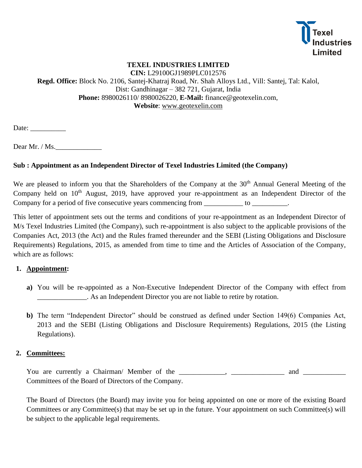

# **TEXEL INDUSTRIES LIMITED**

**CIN:** L29100GJ1989PLC012576 **Regd. Office:** Block No. 2106, Santej-Khatraj Road, Nr. Shah Alloys Ltd., Vill: Santej, Tal: Kalol, Dist: Gandhinagar – 382 721, Gujarat, India **Phone:** 8980026110/ 8980026220, **E-Mail:** finance@geotexelin.com, **Website**: [www.g](http://www.jindaltextiles.com/)eotexelin.com

 $Date:$ 

Dear Mr. / Ms.

### **Sub : Appointment as an Independent Director of Texel Industries Limited (the Company)**

We are pleased to inform you that the Shareholders of the Company at the 30<sup>th</sup> Annual General Meeting of the Company held on 10<sup>th</sup> August, 2019, have approved your re-appointment as an Independent Director of the Company for a period of five consecutive years commencing from \_\_\_\_\_\_\_\_\_\_\_ to \_\_\_\_\_\_\_\_\_.

This letter of appointment sets out the terms and conditions of your re-appointment as an Independent Director of M/s Texel Industries Limited (the Company), such re-appointment is also subject to the applicable provisions of the Companies Act, 2013 (the Act) and the Rules framed thereunder and the SEBI (Listing Obligations and Disclosure Requirements) Regulations, 2015, as amended from time to time and the Articles of Association of the Company, which are as follows:

### **1. Appointment:**

- **a)** You will be re-appointed as a Non-Executive Independent Director of the Company with effect from \_\_\_\_\_\_\_\_\_\_\_\_\_\_. As an Independent Director you are not liable to retire by rotation.
- **b)** The term "Independent Director" should be construed as defined under Section 149(6) Companies Act, 2013 and the SEBI (Listing Obligations and Disclosure Requirements) Regulations, 2015 (the Listing Regulations).

### **2. Committees:**

You are currently a Chairman/ Member of the \_\_\_\_\_\_\_\_\_\_, \_\_\_\_\_\_\_\_\_\_\_\_\_\_ and \_\_\_\_\_\_\_\_\_\_\_\_ Committees of the Board of Directors of the Company.

The Board of Directors (the Board) may invite you for being appointed on one or more of the existing Board Committees or any Committee(s) that may be set up in the future. Your appointment on such Committee(s) will be subject to the applicable legal requirements.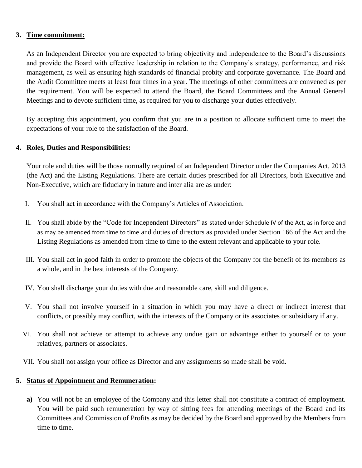#### **3. Time commitment:**

As an Independent Director you are expected to bring objectivity and independence to the Board's discussions and provide the Board with effective leadership in relation to the Company's strategy, performance, and risk management, as well as ensuring high standards of financial probity and corporate governance. The Board and the Audit Committee meets at least four times in a year. The meetings of other committees are convened as per the requirement. You will be expected to attend the Board, the Board Committees and the Annual General Meetings and to devote sufficient time, as required for you to discharge your duties effectively.

By accepting this appointment, you confirm that you are in a position to allocate sufficient time to meet the expectations of your role to the satisfaction of the Board.

#### **4. Roles, Duties and Responsibilities:**

Your role and duties will be those normally required of an Independent Director under the Companies Act, 2013 (the Act) and the Listing Regulations. There are certain duties prescribed for all Directors, both Executive and Non-Executive, which are fiduciary in nature and inter alia are as under:

- I. You shall act in accordance with the Company's Articles of Association.
- II. You shall abide by the "Code for Independent Directors" as stated under Schedule IV of the Act, as in force and as may be amended from time to time and duties of directors as provided under Section 166 of the Act and the Listing Regulations as amended from time to time to the extent relevant and applicable to your role.
- III. You shall act in good faith in order to promote the objects of the Company for the benefit of its members as a whole, and in the best interests of the Company.
- IV. You shall discharge your duties with due and reasonable care, skill and diligence.
- V. You shall not involve yourself in a situation in which you may have a direct or indirect interest that conflicts, or possibly may conflict, with the interests of the Company or its associates or subsidiary if any.
- VI. You shall not achieve or attempt to achieve any undue gain or advantage either to yourself or to your relatives, partners or associates.
- VII. You shall not assign your office as Director and any assignments so made shall be void.

### **5. Status of Appointment and Remuneration:**

**a)** You will not be an employee of the Company and this letter shall not constitute a contract of employment. You will be paid such remuneration by way of sitting fees for attending meetings of the Board and its Committees and Commission of Profits as may be decided by the Board and approved by the Members from time to time.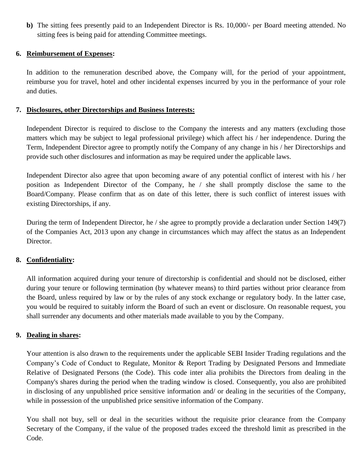**b)** The sitting fees presently paid to an Independent Director is Rs. 10,000/- per Board meeting attended. No sitting fees is being paid for attending Committee meetings.

### **6. Reimbursement of Expenses:**

In addition to the remuneration described above, the Company will, for the period of your appointment, reimburse you for travel, hotel and other incidental expenses incurred by you in the performance of your role and duties.

### **7. Disclosures, other Directorships and Business Interests:**

Independent Director is required to disclose to the Company the interests and any matters (excluding those matters which may be subject to legal professional privilege) which affect his / her independence. During the Term, Independent Director agree to promptly notify the Company of any change in his / her Directorships and provide such other disclosures and information as may be required under the applicable laws.

Independent Director also agree that upon becoming aware of any potential conflict of interest with his / her position as Independent Director of the Company, he / she shall promptly disclose the same to the Board/Company. Please confirm that as on date of this letter, there is such conflict of interest issues with existing Directorships, if any.

During the term of Independent Director, he / she agree to promptly provide a declaration under Section 149(7) of the Companies Act, 2013 upon any change in circumstances which may affect the status as an Independent Director.

# **8. Confidentiality:**

All information acquired during your tenure of directorship is confidential and should not be disclosed, either during your tenure or following termination (by whatever means) to third parties without prior clearance from the Board, unless required by law or by the rules of any stock exchange or regulatory body. In the latter case, you would be required to suitably inform the Board of such an event or disclosure. On reasonable request, you shall surrender any documents and other materials made available to you by the Company.

# **9. Dealing in shares:**

Your attention is also drawn to the requirements under the applicable SEBI Insider Trading regulations and the Company's Code of Conduct to Regulate, Monitor & Report Trading by Designated Persons and Immediate Relative of Designated Persons (the Code). This code inter alia prohibits the Directors from dealing in the Company's shares during the period when the trading window is closed. Consequently, you also are prohibited in disclosing of any unpublished price sensitive information and/ or dealing in the securities of the Company, while in possession of the unpublished price sensitive information of the Company.

You shall not buy, sell or deal in the securities without the requisite prior clearance from the Company Secretary of the Company, if the value of the proposed trades exceed the threshold limit as prescribed in the Code.